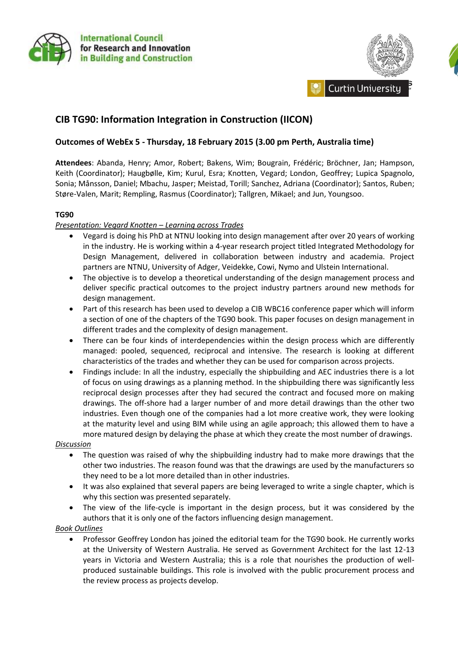



# **CIB TG90: Information Integration in Construction (IICON)**

# **Outcomes of WebEx 5 - Thursday, 18 February 2015 (3.00 pm Perth, Australia time)**

**Attendees**: Abanda, Henry; Amor, Robert; Bakens, Wim; Bougrain, Frédéric; Bröchner, Jan; Hampson, Keith (Coordinator); Haugbølle, Kim; Kurul, Esra; Knotten, Vegard; London, Geoffrey; Lupica Spagnolo, Sonia; Månsson, Daniel; Mbachu, Jasper; Meistad, Torill; Sanchez, Adriana (Coordinator); Santos, Ruben; Støre-Valen, Marit; Rempling, Rasmus (Coordinator); Tallgren, Mikael; and Jun, Youngsoo.

#### **TG90**

### *Presentation: Vegard Knotten – Learning across Trades*

- Vegard is doing his PhD at NTNU looking into design management after over 20 years of working in the industry. He is working within a 4-year research project titled Integrated Methodology for Design Management, delivered in collaboration between industry and academia. Project partners are NTNU, University of Adger, Veidekke, Cowi, Nymo and Ulstein International.
- The objective is to develop a theoretical understanding of the design management process and deliver specific practical outcomes to the project industry partners around new methods for design management.
- Part of this research has been used to develop a CIB WBC16 conference paper which will inform a section of one of the chapters of the TG90 book. This paper focuses on design management in different trades and the complexity of design management.
- There can be four kinds of interdependencies within the design process which are differently managed: pooled, sequenced, reciprocal and intensive. The research is looking at different characteristics of the trades and whether they can be used for comparison across projects.
- Findings include: In all the industry, especially the shipbuilding and AEC industries there is a lot of focus on using drawings as a planning method. In the shipbuilding there was significantly less reciprocal design processes after they had secured the contract and focused more on making drawings. The off-shore had a larger number of and more detail drawings than the other two industries. Even though one of the companies had a lot more creative work, they were looking at the maturity level and using BIM while using an agile approach; this allowed them to have a more matured design by delaying the phase at which they create the most number of drawings.

#### *Discussion*

- The question was raised of why the shipbuilding industry had to make more drawings that the other two industries. The reason found was that the drawings are used by the manufacturers so they need to be a lot more detailed than in other industries.
- It was also explained that several papers are being leveraged to write a single chapter, which is why this section was presented separately.
- The view of the life-cycle is important in the design process, but it was considered by the authors that it is only one of the factors influencing design management.

#### *Book Outlines*

 Professor Geoffrey London has joined the editorial team for the TG90 book. He currently works at the University of Western Australia. He served as Government Architect for the last 12-13 years in Victoria and Western Australia; this is a role that nourishes the production of wellproduced sustainable buildings. This role is involved with the public procurement process and the review process as projects develop.